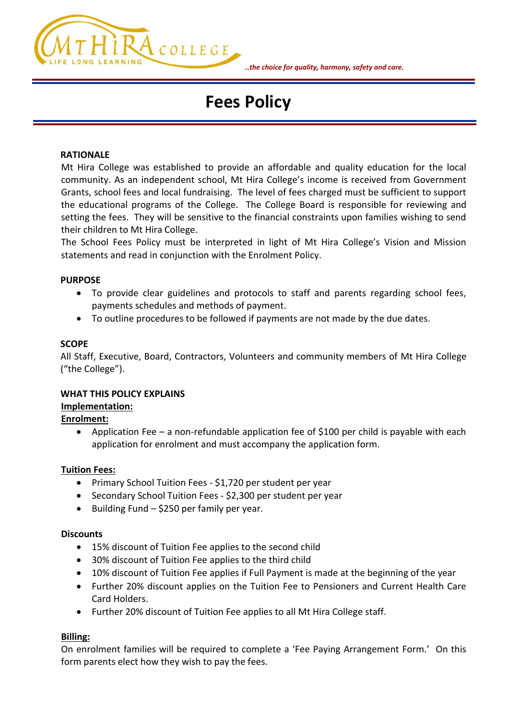

#### **…***the choice for quality, harmony, safety and care.*

# **Fees Policy**

#### **RATIONALE**

Mt Hira College was established to provide an affordable and quality education for the local community. As an independent school, Mt Hira College's income is received from Government Grants, school fees and local fundraising. The level of fees charged must be sufficient to support the educational programs of the College. The College Board is responsible for reviewing and setting the fees. They will be sensitive to the financial constraints upon families wishing to send their children to Mt Hira College.

The School Fees Policy must be interpreted in light of Mt Hira College's Vision and Mission statements and read in conjunction with the Enrolment Policy.

#### **PURPOSE**

- To provide clear guidelines and protocols to staff and parents regarding school fees, payments schedules and methods of payment.
- To outline procedures to be followed if payments are not made by the due dates.

#### **SCOPE**

All Staff, Executive, Board, Contractors, Volunteers and community members of Mt Hira College ("the College").

#### **WHAT THIS POLICY EXPLAINS**

#### **Implementation:**

### **Enrolment:**

• Application Fee – a non-refundable application fee of \$100 per child is payable with each application for enrolment and must accompany the application form.

#### **Tuition Fees:**

- Primary School Tuition Fees \$1,720 per student per year
- Secondary School Tuition Fees \$2,300 per student per year
- Building Fund \$250 per family per year.

### **Discounts**

- 15% discount of Tuition Fee applies to the second child
- 30% discount of Tuition Fee applies to the third child
- 10% discount of Tuition Fee applies if Full Payment is made at the beginning of the year
- Further 20% discount applies on the Tuition Fee to Pensioners and Current Health Care Card Holders.
- Further 20% discount of Tuition Fee applies to all Mt Hira College staff.

### **Billing:**

On enrolment families will be required to complete a 'Fee Paying Arrangement Form.' On this form parents elect how they wish to pay the fees.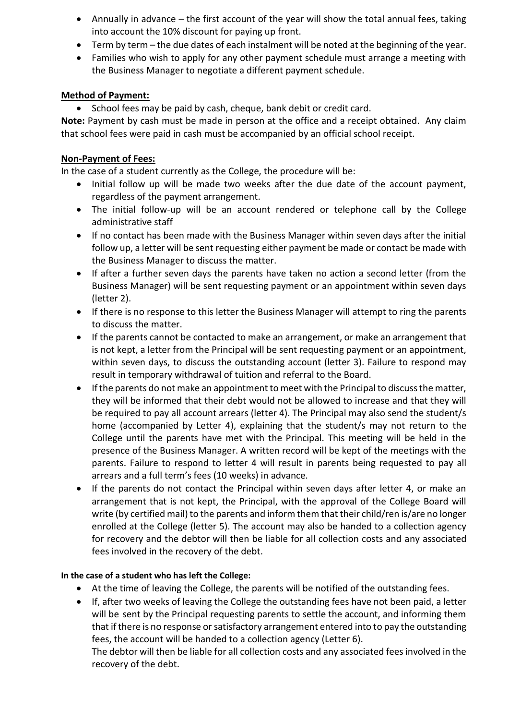- Annually in advance the first account of the year will show the total annual fees, taking into account the 10% discount for paying up front.
- Term by term the due dates of each instalment will be noted at the beginning of the year.
- Families who wish to apply for any other payment schedule must arrange a meeting with the Business Manager to negotiate a different payment schedule.

## **Method of Payment:**

• School fees may be paid by cash, cheque, bank debit or credit card.

**Note:** Payment by cash must be made in person at the office and a receipt obtained. Any claim that school fees were paid in cash must be accompanied by an official school receipt.

## **Non-Payment of Fees:**

In the case of a student currently as the College, the procedure will be:

- Initial follow up will be made two weeks after the due date of the account payment, regardless of the payment arrangement.
- The initial follow-up will be an account rendered or telephone call by the College administrative staff
- If no contact has been made with the Business Manager within seven days after the initial follow up, a letter will be sent requesting either payment be made or contact be made with the Business Manager to discuss the matter.
- If after a further seven days the parents have taken no action a second letter (from the Business Manager) will be sent requesting payment or an appointment within seven days (letter 2).
- If there is no response to this letter the Business Manager will attempt to ring the parents to discuss the matter.
- If the parents cannot be contacted to make an arrangement, or make an arrangement that is not kept, a letter from the Principal will be sent requesting payment or an appointment, within seven days, to discuss the outstanding account (letter 3). Failure to respond may result in temporary withdrawal of tuition and referral to the Board.
- If the parents do not make an appointment to meet with the Principal to discuss the matter, they will be informed that their debt would not be allowed to increase and that they will be required to pay all account arrears (letter 4). The Principal may also send the student/s home (accompanied by Letter 4), explaining that the student/s may not return to the College until the parents have met with the Principal. This meeting will be held in the presence of the Business Manager. A written record will be kept of the meetings with the parents. Failure to respond to letter 4 will result in parents being requested to pay all arrears and a full term's fees (10 weeks) in advance.
- If the parents do not contact the Principal within seven days after letter 4, or make an arrangement that is not kept, the Principal, with the approval of the College Board will write (by certified mail) to the parents and inform them that their child/ren is/are no longer enrolled at the College (letter 5). The account may also be handed to a collection agency for recovery and the debtor will then be liable for all collection costs and any associated fees involved in the recovery of the debt.

## **In the case of a student who has left the College:**

- At the time of leaving the College, the parents will be notified of the outstanding fees.
- If, after two weeks of leaving the College the outstanding fees have not been paid, a letter will be sent by the Principal requesting parents to settle the account, and informing them that if there is no response or satisfactory arrangement entered into to pay the outstanding fees, the account will be handed to a collection agency (Letter 6).

The debtor will then be liable for all collection costs and any associated fees involved in the recovery of the debt.